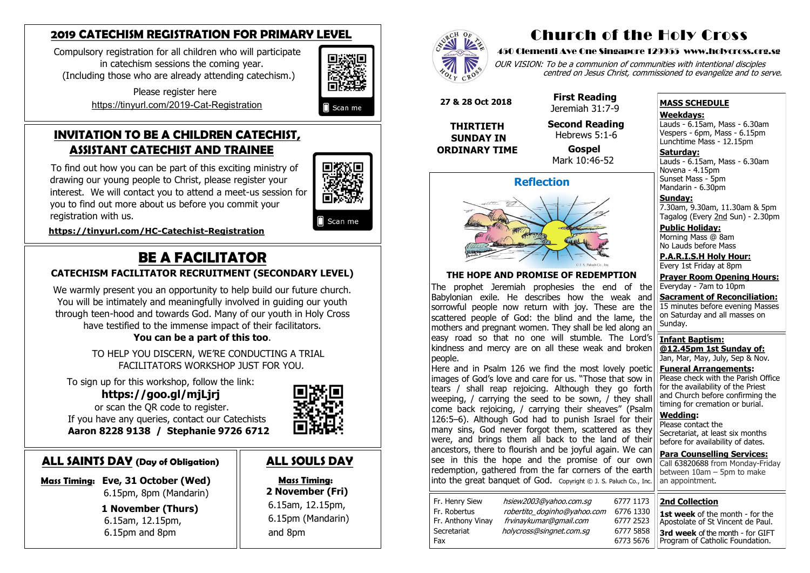### **2019 CATECHISM REGISTRATION FOR PRIMARY LEVEL**

 Compulsory registration for all children who will participate in catechism sessions the coming year. (Including those who are already attending catechism.)

> Please register here [https://tinyurl.com/2019](https://tinyurl.com/2019-Cat-Registration)-Cat-Registration

### **INVITATION TO BE A CHILDREN CATECHIST, ASSISTANT CATECHIST AND TRAINEE**

To find out how you can be part of this exciting ministry of drawing our young people to Christ, please register your interest. We will contact you to attend a meet-us session for you to find out more about us before you commit your registration with us.



Scan me

п

 **[https://tinyurl.com/HC](https://tinyurl.com/HC-Catechist-Registration)-Catechist-Registration**

# **BE A FACILITATOR**

### **CATECHISM FACILITATOR RECRUITMENT (SECONDARY LEVEL)**

OUR VISION: To be a communion of communities with intentional disciples centred on Jesus Christ, commissioned to evangelize and to serve.

We warmly present you an opportunity to help build our future church. You will be intimately and meaningfully involved in guiding our youth through teen-hood and towards God. Many of our youth in Holy Cross have testified to the immense impact of their facilitators.

### **You can be a part of this too**.

**Saturday:** Lauds - 6.15am, Mass - 6.30am Novena - 4.15pm Sunset Mass - 5pm Mandarin - 6.30pm

 TO HELP YOU DISCERN, WE'RE CONDUCTING A TRIAL FACILITATORS WORKSHOP JUST FOR YOU.

To sign up for this workshop, follow the link:

### **https://goo.gl/mjLjrj**

 or scan the QR code to register. If you have any queries, contact our Catechists  **Aaron 8228 9138 / Stephanie 9726 6712**



### **ALL SAINTS DAY (Day of Obligation)**

 **Mass Timing: Eve, 31 October (Wed)**  6.15pm, 8pm (Mandarin)

> **1 November (Thurs)** 6.15am, 12.15pm, 6.15pm and 8pm

### **ALL SOULS DAY**

 **Mass Timing: 2 November (Fri)** 6.15am, 12.15pm, 6.15pm (Mandarin) and 8pm



# Church of the Holy Cross

#### 450 Clementi Ave One Singapore 129955 www.holycross.org.sg



| 6777 1173 |
|-----------|
| 6776 1330 |
| 6777 2523 |
| 6777 5858 |
| 6773 5676 |

Here and in Psalm 126 we find the most lovely poetic images of God's love and care for us. "Those that sow in tears / shall reap rejoicing. Although they go forth weeping, / carrying the seed to be sown, / they shall come back rejoicing, / carrying their sheaves" (Psalm 126:5–6). Although God had to punish Israel for their many sins, God never forgot them, scattered as they were, and brings them all back to the land of their ancestors, there to flourish and be joyful again. We can see in this the hope and the promise of our own redemption, gathered from the far corners of the earth into the great banquet of God. Copyright © J. S. Paluch Co., Inc.

Fax 6773 5676

Fr. Henry Siew hsiew2003@yahoo.com.sq Fr. Robertus *robertito doginho@yahoo.com* Fr. Anthony Vinay frvinaykumar@gmail.com Secretariat holycross@singnet.com.sq

#### **MASS SCHEDULE**

#### **Weekdays:**

Lauds - 6.15am, Mass - 6.30am Vespers - 6pm, Mass - 6.15pm Lunchtime Mass - 12.15pm

**Sunday:** 7.30am, 9.30am, 11.30am & 5pm Tagalog (Every 2nd Sun) - 2.30pm

**Public Holiday:**  Morning Mass @ 8am No Lauds before Mass

**P.A.R.I.S.H Holy Hour:** Every 1st Friday at 8pm

**Prayer Room Opening Hours:** Everyday - 7am to 10pm

**Sacrament of Reconciliation:** 15 minutes before evening Masses on Saturday and all masses on Sunday.

**Infant Baptism: @12.45pm 1st Sunday of:** Jan, Mar, May, July, Sep & Nov.

**Funeral Arrangements:**  Please check with the Parish Office for the availability of the Priest and Church before confirming the timing for cremation or burial.

**Wedding:**  Please contact the Secretariat, at least six months before for availability of dates.

**Para Counselling Services:** Call [63820688](tel:+6563820688) from Monday-Friday between 10am – 5pm to make an appointment.





### **THE HOPE AND PROMISE OF REDEMPTION**

The prophet Jeremiah prophesies the end of the Babylonian exile. He describes how the weak and sorrowful people now return with joy. These are the scattered people of God: the blind and the lame, the mothers and pregnant women. They shall be led along an easy road so that no one will stumble. The Lord's kindness and mercy are on all these weak and broken people.

 **27 & 28 Oct 2018**

**THIRTIETH SUNDAY IN ORDINARY TIME**

 **First Reading** Jeremiah 31:7-9

 **Second Reading** Hebrews 5:1-6

**Gospel**

Mark 10:46-52

#### **2nd Collection**

**1st week** of the month - for the Apostolate of St Vincent de Paul. **3rd week** of the month - for GIFT Program of Catholic Foundation.